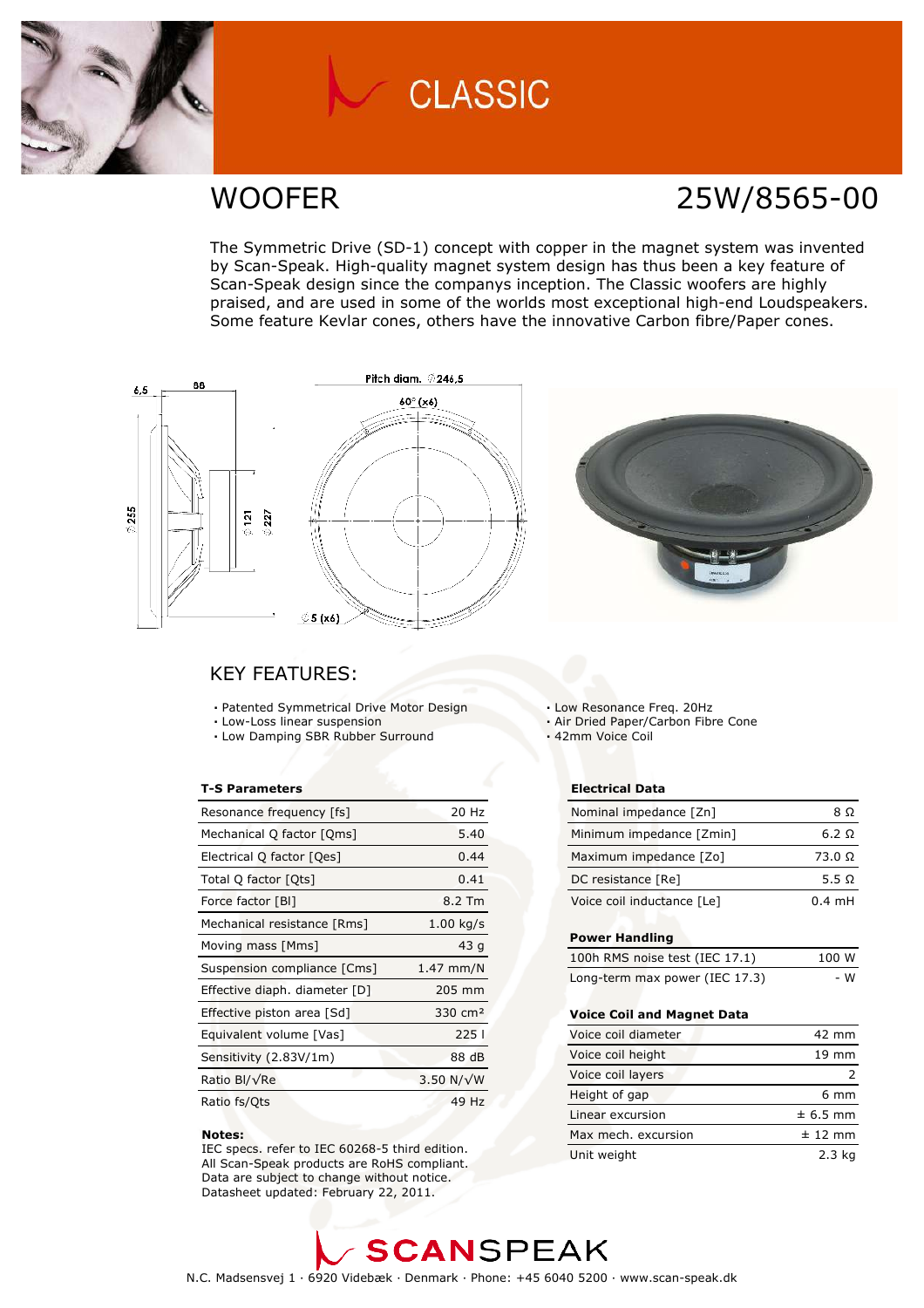

# **CLASSIC**

### WOOFER 25W/8565-00

The Symmetric Drive (SD-1) concept with copper in the magnet system was invented by Scan-Speak. High-quality magnet system design has thus been a key feature of Scan-Speak design since the companys inception. The Classic woofers are highly praised, and are used in some of the worlds most exceptional high-end Loudspeakers. Some feature Kevlar cones, others have the innovative Carbon fibre/Paper cones.





### **KEY FEATURES:**

- Patented Symmetrical Drive Motor Design
- Low-Loss linear suspension
- . Low Damping SBR Rubber Surround

#### **T-S Parameters**

| Resonance frequency [fs]      | 20 Hz              |
|-------------------------------|--------------------|
| Mechanical Q factor [Qms]     | 5.40               |
| Electrical Q factor [Qes]     | 0.44               |
| Total Q factor [Ots]          | 0.41               |
| Force factor [BI]             | 8.2 Tm             |
| Mechanical resistance [Rms]   | $1.00$ kg/s        |
| Moving mass [Mms]             | 43q                |
| Suspension compliance [Cms]   | $1.47$ mm/N        |
| Effective diaph. diameter [D] | 205 mm             |
| Effective piston area [Sd]    | $330 \text{ cm}^2$ |
| Equivalent volume [Vas]       | 2251               |
| Sensitivity (2.83V/1m)        | 88 dB              |
| Ratio Bl/√Re                  | 3.50 N/ $\sqrt{W}$ |
| Ratio fs/Qts                  | 49 Hz              |

#### Notes:

IEC specs. refer to IEC 60268-5 third edition. All Scan-Speak products are RoHS compliant. Data are subject to change without notice. Datasheet updated: February 22, 2011.

Low Resonance Freg. 20Hz

- Air Dried Paper/Carbon Fibre Cone
- · 42mm Voice Coil

#### **Electrical Data**

| Nominal impedance [Zn]     | 8 O              |
|----------------------------|------------------|
| Minimum impedance [Zmin]   | 6.2 Q            |
| Maximum impedance [Zo]     | 73.0 Ω           |
| DC resistance [Re]         | 5.5 Q            |
| Voice coil inductance [Le] | $0.4 \text{ mH}$ |

#### **Power Handling**

| 100h RMS noise test (IEC 17.1) | 100 W |
|--------------------------------|-------|
| Long-term max power (IEC 17.3) | - W   |

#### Voice Coil and Magnet Data

| Voice coil diameter | 42 mm           |
|---------------------|-----------------|
| Voice coil height   | $19 \text{ mm}$ |
| Voice coil layers   |                 |
| Height of gap       | $6 \text{ mm}$  |
| Linear excursion    | $± 6.5$ mm      |
| Max mech, excursion | $± 12$ mm       |
| Unit weight         | 2.3 kg          |